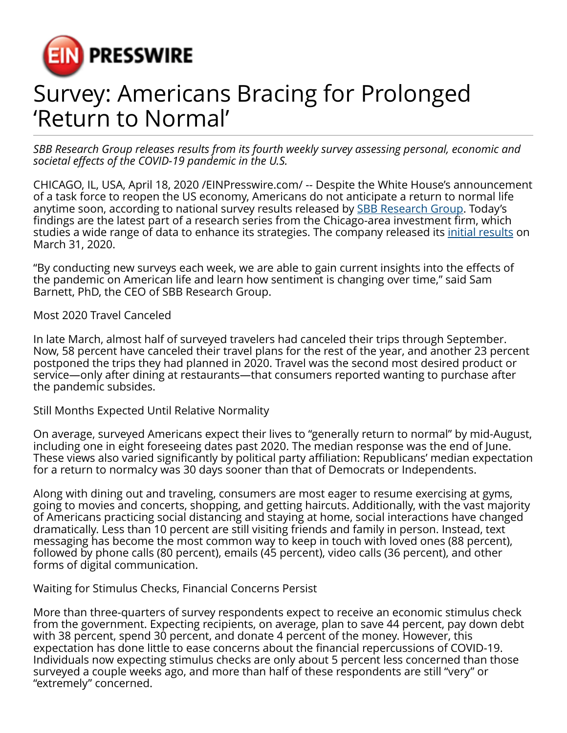

## Survey: Americans Bracing for Prolonged 'Return to Normal'

*SBB Research Group releases results from its fourth weekly survey assessing personal, economic and societal effects of the COVID-19 pandemic in the U.S.*

CHICAGO, IL, USA, April 18, 2020 [/EINPresswire.com/](http://www.einpresswire.com) -- Despite the White House's announcement of a task force to reopen the US economy, Americans do not anticipate a return to normal life anytime soon, according to national survey results released by [SBB Research Group](https://www.bloomberg.com/profile/company/1299451D:US). Today's findings are the latest part of a research series from the Chicago-area investment firm, which studies a wide range of data to enhance its strategies. The company released its [initial results](https://finance.yahoo.com/news/sbb-research-group-releases-national-052038486.html) on March 31, 2020.

"By conducting new surveys each week, we are able to gain current insights into the effects of the pandemic on American life and learn how sentiment is changing over time," said Sam Barnett, PhD, the CEO of SBB Research Group.

Most 2020 Travel Canceled

In late March, almost half of surveyed travelers had canceled their trips through September. Now, 58 percent have canceled their travel plans for the rest of the year, and another 23 percent postponed the trips they had planned in 2020. Travel was the second most desired product or service—only after dining at restaurants—that consumers reported wanting to purchase after the pandemic subsides.

Still Months Expected Until Relative Normality

On average, surveyed Americans expect their lives to "generally return to normal" by mid-August, including one in eight foreseeing dates past 2020. The median response was the end of June. These views also varied significantly by political party affiliation: Republicans' median expectation for a return to normalcy was 30 days sooner than that of Democrats or Independents.

Along with dining out and traveling, consumers are most eager to resume exercising at gyms, going to movies and concerts, shopping, and getting haircuts. Additionally, with the vast majority of Americans practicing social distancing and staying at home, social interactions have changed dramatically. Less than 10 percent are still visiting friends and family in person. Instead, text messaging has become the most common way to keep in touch with loved ones (88 percent), followed by phone calls (80 percent), emails (45 percent), video calls (36 percent), and other forms of digital communication.

Waiting for Stimulus Checks, Financial Concerns Persist

More than three-quarters of survey respondents expect to receive an economic stimulus check from the government. Expecting recipients, on average, plan to save 44 percent, pay down debt with 38 percent, spend 30 percent, and donate 4 percent of the money. However, this expectation has done little to ease concerns about the financial repercussions of COVID-19. Individuals now expecting stimulus checks are only about 5 percent less concerned than those surveyed a couple weeks ago, and more than half of these respondents are still "very" or "extremely" concerned.